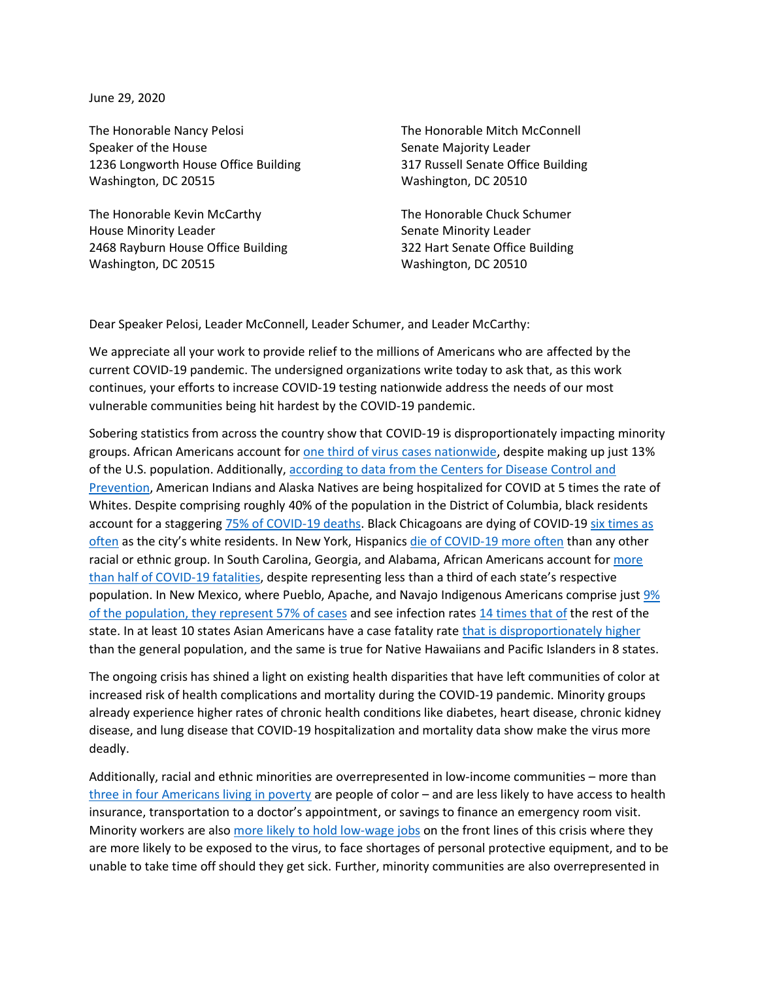June 29, 2020

The Honorable Nancy Pelosi Speaker of the House 1236 Longworth House Office Building Washington, DC 20515

The Honorable Kevin McCarthy House Minority Leader 2468 Rayburn House Office Building Washington, DC 20515

The Honorable Mitch McConnell Senate Majority Leader 317 Russell Senate Office Building Washington, DC 20510

The Honorable Chuck Schumer Senate Minority Leader 322 Hart Senate Office Building Washington, DC 20510

Dear Speaker Pelosi, Leader McConnell, Leader Schumer, and Leader McCarthy:

We appreciate all your work to provide relief to the millions of Americans who are affected by the current COVID-19 pandemic. The undersigned organizations write today to ask that, as this work continues, your efforts to increase COVID-19 testing nationwide address the needs of our most vulnerable communities being hit hardest by the COVID-19 pandemic.

Sobering statistics from across the country show that COVID-19 is disproportionately impacting minority groups. African Americans account for [one third of virus cases nationwide,](https://www.vox.com/coronavirus-covid19/2020/4/18/21226225/coronavirus-black-cdc-infection) despite making up just 13% of the U.S. population. Additionally, [according to data from the Centers for Disease Control and](https://www.cdc.gov/coronavirus/2019-ncov/covid-data/images/age-adjusted-1200x675-anim-06152020.gif)  [Prevention,](https://www.cdc.gov/coronavirus/2019-ncov/covid-data/images/age-adjusted-1200x675-anim-06152020.gif) American Indians and Alaska Natives are being hospitalized for COVID at 5 times the rate of Whites. Despite comprising roughly 40% of the population in the District of Columbia, black residents account for a staggering [75% of COVID-19 deaths.](https://apnews.com/8a3430dd37e7c44290c7621f5af96d6b) Black Chicagoans are dying of COVID-19 [six times as](https://www.chicagotribune.com/coronavirus/ct-coronavirus-chicago-coronavirus-deaths-demographics-lightfoot-20200406-77nlylhiavgjzb2wa4ckivh7mu-story.html)  [often](https://www.chicagotribune.com/coronavirus/ct-coronavirus-chicago-coronavirus-deaths-demographics-lightfoot-20200406-77nlylhiavgjzb2wa4ckivh7mu-story.html) as the city's white residents. In New York, Hispanics [die of COVID-19 more often](https://www.nbcnewyork.com/news/coronavirus/hispanic-community-in-nyc-disproportionately-impacted-by-covid-19-officials/2365896/) than any other racial or ethnic group. In South Carolina, Georgia, and Alabama, African Americans account for [more](https://apnews.com/8a3430dd37e7c44290c7621f5af96d6b)  [than half of COVID-19 fatalities,](https://apnews.com/8a3430dd37e7c44290c7621f5af96d6b) despite representing less than a third of each state's respective population. In New Mexico, where Pueblo, Apache, and Navajo Indigenous Americans comprise just  $9\%$ of the [population, they represent 57% of cases](https://covidtracking.com/race/dashboard) and see infection rates [14 times that of](https://www.abqjournal.com/1461218/huge-disparity-in-covid19-death-rates-for-native-americans-in-nm.html) the rest of the state. In at least 10 states Asian Americans have a case fatality rate [that is disproportionately higher](https://mcusercontent.com/d7f02dd24377959c916d14de6/files/5ebe9b24-21f8-4d67-93d2-4f218db2e323/NCAPIP_Statement_to_House_Ways_and_Means_Committee_on_COVID_19_Disparities.pdf) than the general population, and the same is true for Native Hawaiians and Pacific Islanders in 8 states.

The ongoing crisis has shined a light on existing health disparities that have left communities of color at increased risk of health complications and mortality during the COVID-19 pandemic. Minority groups already experience higher rates of chronic health conditions like diabetes, heart disease, chronic kidney disease, and lung disease that COVID-19 hospitalization and mortality data show make the virus more deadly.

Additionally, racial and ethnic minorities are overrepresented in low-income communities – more than [three in four Americans living in poverty](https://www.kff.org/other/state-indicator/poverty-rate-by-raceethnicity/?currentTimeframe=0&sortModel=%7B%22colId%22:%22Location%22,%22sort%22:%22asc%22%7D) are people of color – and are less likely to have access to health insurance, transportation to a doctor's appointment, or savings to finance an emergency room visit. Minority workers are also [more likely to hold low-wage jobs](https://www.kff.org/coronavirus-covid-19/issue-brief/double-jeopardy-low-wage-workers-at-risk-for-health-and-financial-implications-of-covid-19/) on the front lines of this crisis where they are more likely to be exposed to the virus, to face shortages of personal protective equipment, and to be unable to take time off should they get sick. Further, minority communities are also overrepresented in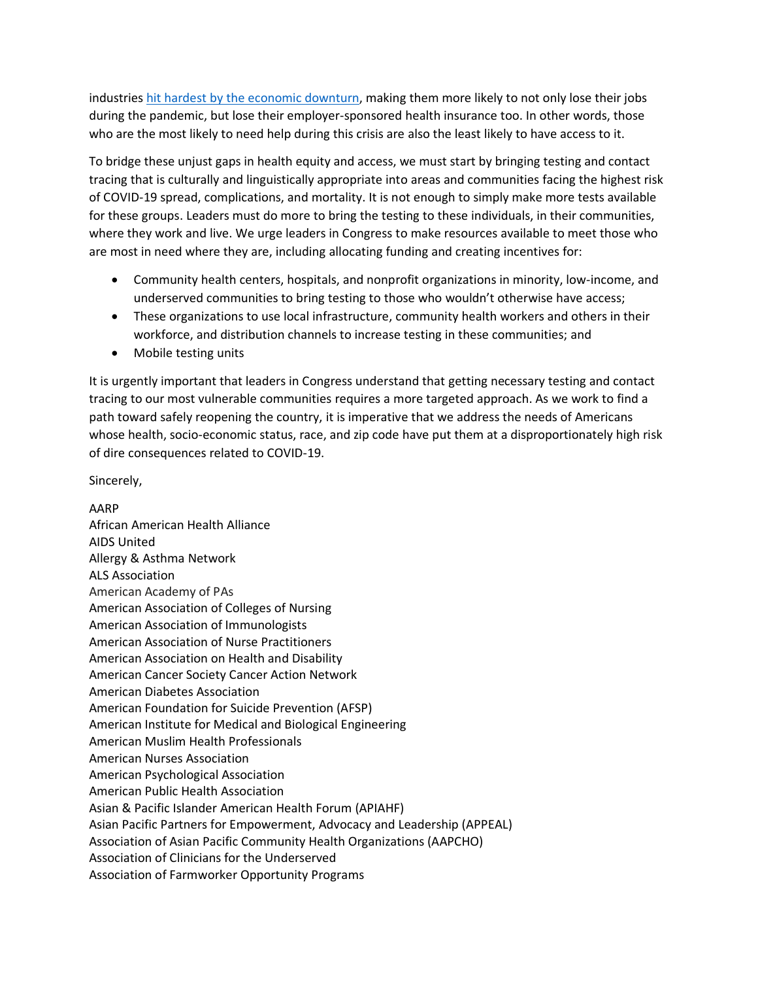industries [hit hardest by the economic downturn,](https://www.npr.org/2020/04/22/840276956/minorities-often-work-these-jobs-they-were-among-first-to-go-in-coronavirus-layo) making them more likely to not only lose their jobs during the pandemic, but lose their employer-sponsored health insurance too. In other words, those who are the most likely to need help during this crisis are also the least likely to have access to it.

To bridge these unjust gaps in health equity and access, we must start by bringing testing and contact tracing that is culturally and linguistically appropriate into areas and communities facing the highest risk of COVID-19 spread, complications, and mortality. It is not enough to simply make more tests available for these groups. Leaders must do more to bring the testing to these individuals, in their communities, where they work and live. We urge leaders in Congress to make resources available to meet those who are most in need where they are, including allocating funding and creating incentives for:

- Community health centers, hospitals, and nonprofit organizations in minority, low-income, and underserved communities to bring testing to those who wouldn't otherwise have access;
- These organizations to use local infrastructure, community health workers and others in their workforce, and distribution channels to increase testing in these communities; and
- Mobile testing units

It is urgently important that leaders in Congress understand that getting necessary testing and contact tracing to our most vulnerable communities requires a more targeted approach. As we work to find a path toward safely reopening the country, it is imperative that we address the needs of Americans whose health, socio-economic status, race, and zip code have put them at a disproportionately high risk of dire consequences related to COVID-19.

Sincerely,

AARP African American Health Alliance AIDS United Allergy & Asthma Network ALS Association American Academy of PAs American Association of Colleges of Nursing American Association of Immunologists American Association of Nurse Practitioners American Association on Health and Disability American Cancer Society Cancer Action Network American Diabetes Association American Foundation for Suicide Prevention (AFSP) American Institute for Medical and Biological Engineering American Muslim Health Professionals American Nurses Association American Psychological Association American Public Health Association Asian & Pacific Islander American Health Forum (APIAHF) Asian Pacific Partners for Empowerment, Advocacy and Leadership (APPEAL) Association of Asian Pacific Community Health Organizations (AAPCHO) Association of Clinicians for the Underserved Association of Farmworker Opportunity Programs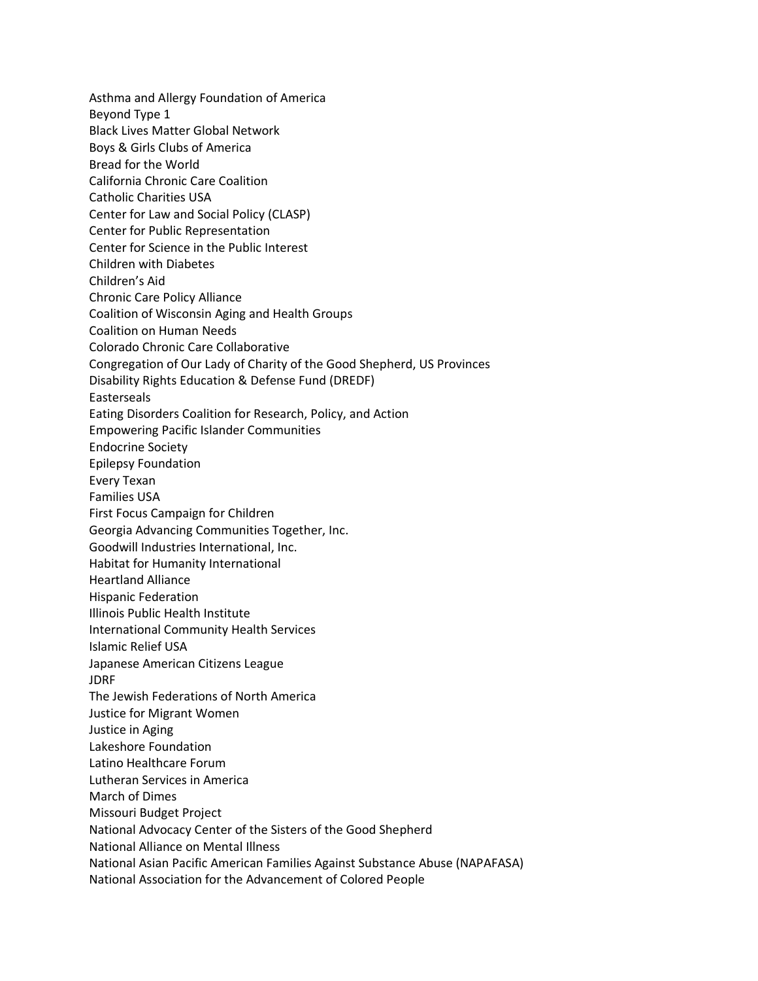Asthma and Allergy Foundation of America Beyond Type 1 Black Lives Matter Global Network Boys & Girls Clubs of America Bread for the World California Chronic Care Coalition Catholic Charities USA Center for Law and Social Policy (CLASP) Center for Public Representation Center for Science in the Public Interest Children with Diabetes Children's Aid Chronic Care Policy Alliance Coalition of Wisconsin Aging and Health Groups Coalition on Human Needs Colorado Chronic Care Collaborative Congregation of Our Lady of Charity of the Good Shepherd, US Provinces Disability Rights Education & Defense Fund (DREDF) Easterseals Eating Disorders Coalition for Research, Policy, and Action Empowering Pacific Islander Communities Endocrine Society Epilepsy Foundation Every Texan Families USA First Focus Campaign for Children Georgia Advancing Communities Together, Inc. Goodwill Industries International, Inc. Habitat for Humanity International Heartland Alliance Hispanic Federation Illinois Public Health Institute International Community Health Services Islamic Relief USA Japanese American Citizens League JDRF The Jewish Federations of North America Justice for Migrant Women Justice in Aging Lakeshore Foundation Latino Healthcare Forum Lutheran Services in America March of Dimes Missouri Budget Project National Advocacy Center of the Sisters of the Good Shepherd National Alliance on Mental Illness National Asian Pacific American Families Against Substance Abuse (NAPAFASA) National Association for the Advancement of Colored People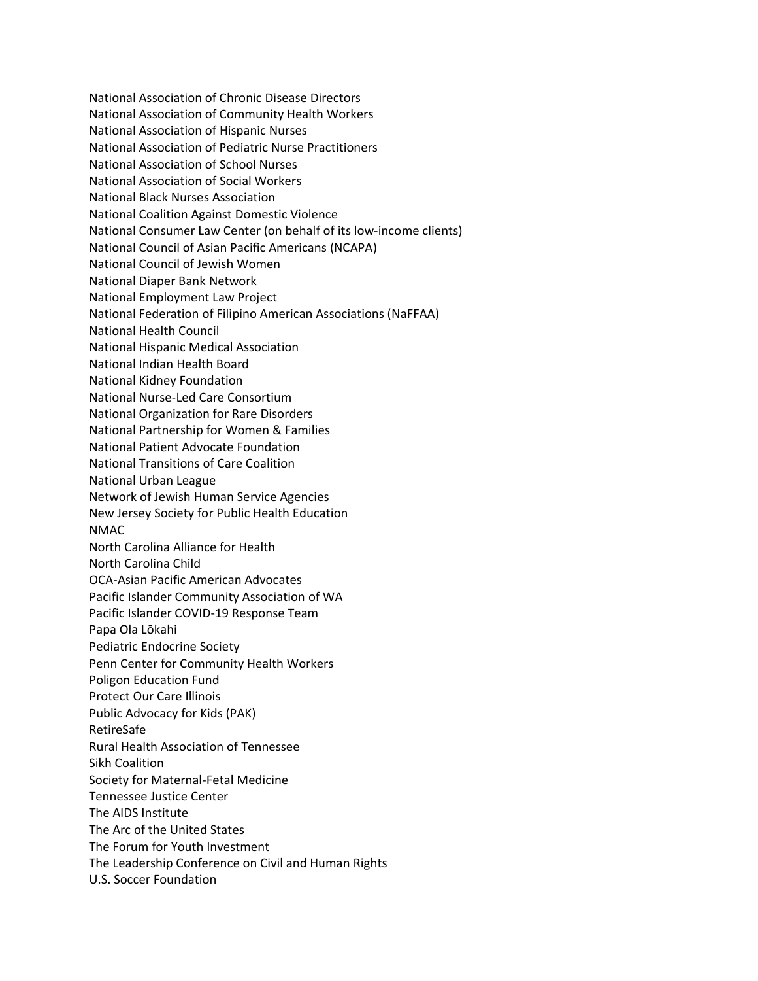National Association of Chronic Disease Directors National Association of Community Health Workers National Association of Hispanic Nurses National Association of Pediatric Nurse Practitioners National Association of School Nurses National Association of Social Workers National Black Nurses Association National Coalition Against Domestic Violence National Consumer Law Center (on behalf of its low-income clients) National Council of Asian Pacific Americans (NCAPA) National Council of Jewish Women National Diaper Bank Network National Employment Law Project National Federation of Filipino American Associations (NaFFAA) National Health Council National Hispanic Medical Association National Indian Health Board National Kidney Foundation National Nurse-Led Care Consortium National Organization for Rare Disorders National Partnership for Women & Families National Patient Advocate Foundation National Transitions of Care Coalition National Urban League Network of Jewish Human Service Agencies New Jersey Society for Public Health Education NMAC North Carolina Alliance for Health North Carolina Child OCA-Asian Pacific American Advocates Pacific Islander Community Association of WA Pacific Islander COVID-19 Response Team Papa Ola Lōkahi Pediatric Endocrine Society Penn Center for Community Health Workers Poligon Education Fund Protect Our Care Illinois Public Advocacy for Kids (PAK) RetireSafe Rural Health Association of Tennessee Sikh Coalition Society for Maternal-Fetal Medicine Tennessee Justice Center The AIDS Institute The Arc of the United States The Forum for Youth Investment The Leadership Conference on Civil and Human Rights U.S. Soccer Foundation